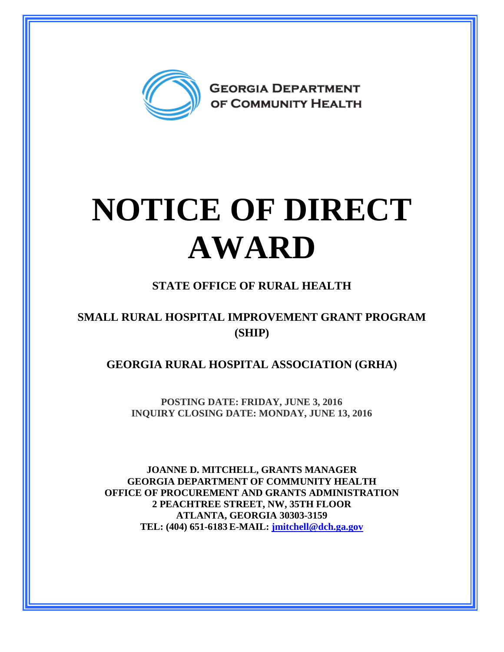

## **NOTICE OF DIRECT AWARD**

## **STATE OFFICE OF RURAL HEALTH**

## **SMALL RURAL HOSPITAL IMPROVEMENT GRANT PROGRAM (SHIP)**

**GEORGIA RURAL HOSPITAL ASSOCIATION (GRHA)** 

**POSTING DATE: FRIDAY, JUNE 3, 2016 INQUIRY CLOSING DATE: MONDAY, JUNE 13, 2016** 

**JOANNE D. MITCHELL, GRANTS MANAGER GEORGIA DEPARTMENT OF COMMUNITY HEALTH OFFICE OF PROCUREMENT AND GRANTS ADMINISTRATION 2 PEACHTREE STREET, NW, 35TH FLOOR ATLANTA, GEORGIA 30303-3159 TEL: (404) 651-6183 E-MAIL: [jmitchell@dch.ga.gov](mailto:awatson@dch.ga.gov)**